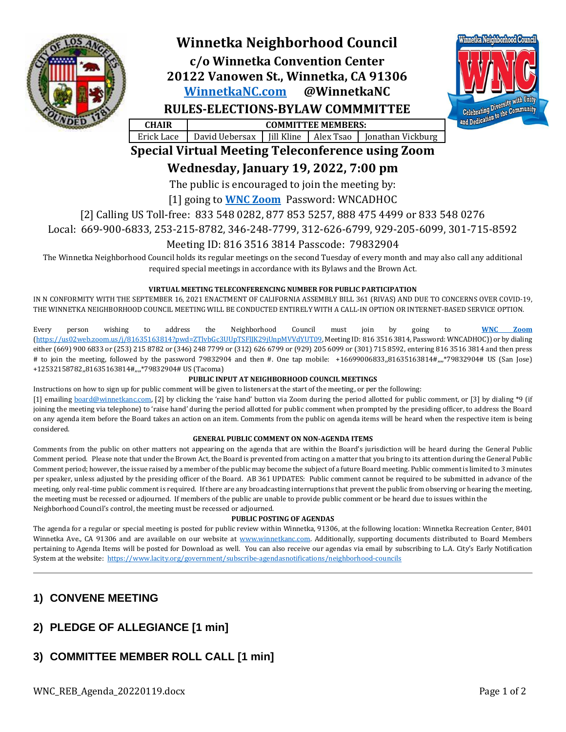

# **Winnetka Neighborhood Council**

**c/o Winnetka Convention Center 20122 Vanowen St., Winnetka, CA 91306 [WinnetkaNC.com](http://www.winnetkanc.com/) @WinnetkaNC**



**RULES-ELECTIONS-BYLAW COMMMITTEE**

**CHAIR COMMITTEE MEMBERS:** Erick Lace | David Uebersax | Jill Kline | Alex Tsao | Jonathan Vickburg

# **Special Virtual Meeting Teleconference using Zoom**

**Wednesday, January 19, 2022, 7:00 pm**

The public is encouraged to join the meeting by:

### [1] going to **[WNC Zoom](https://us02web.zoom.us/j/81635163814?pwd=ZTlvbGc3UUpTSFlJK29jUnpMVVdYUT09)** Password: WNCADHOC

[2] Calling US Toll-free: 833 548 0282, 877 853 5257, 888 475 4499 or 833 548 0276

Local: 669-900-6833, 253-215-8782, 346-248-7799, 312-626-6799, 929-205-6099, 301-715-8592

### Meeting ID: 816 3516 3814 Passcode: 79832904

The Winnetka Neighborhood Council holds its regular meetings on the second Tuesday of every month and may also call any additional required special meetings in accordance with its Bylaws and the Brown Act.

#### **VIRTUAL MEETING TELECONFERENCING NUMBER FOR PUBLIC PARTICIPATION**

IN N CONFORMITY WITH THE SEPTEMBER 16, 2021 ENACTMENT OF CALIFORNIA ASSEMBLY BILL 361 (RIVAS) AND DUE TO CONCERNS OVER COVID-19, THE WINNETKA NEIGHBORHOOD COUNCIL MEETING WILL BE CONDUCTED ENTIRELY WITH A CALL-IN OPTION OR INTERNET-BASED SERVICE OPTION.

Every person wishing to address the Neighborhood Council must join by going to **[WNC Zoom](https://us02web.zoom.us/j/81635163814?pwd=ZTlvbGc3UUpTSFlJK29jUnpMVVdYUT09)** [\(https://us02web.zoom.us/j/81635163814?pwd=ZTlvbGc3UUpTSFlJK29jUnpMVVdYUT09,](https://us02web.zoom.us/j/81635163814?pwd=ZTlvbGc3UUpTSFlJK29jUnpMVVdYUT09) Meeting ID: 816 3516 3814, Password: WNCADHOC)) or by dialing either (669) 900 6833 or (253) 215 8782 or (346) 248 7799 or (312) 626 6799 or (929) 205 6099 or (301) 715 8592, entering 816 3516 3814 and then press # to join the meeting, followed by the password 79832904 and then #. One tap mobile: +16699006833,,81635163814#,,,,\*79832904# US (San Jose) +12532158782,,81635163814#,,,,\*79832904# US (Tacoma)

#### **PUBLIC INPUT AT NEIGHBORHOOD COUNCIL MEETINGS**

Instructions on how to sign up for public comment will be given to listeners at the start of the meeting, or per the following:

[1] emailing [board@winnetkanc.com](mailto:board@winnetkanc.com), [2] by clicking the 'raise hand' button via Zoom during the period allotted for public comment, or [3] by dialing \*9 (if joining the meeting via telephone) to 'raise hand' during the period allotted for public comment when prompted by the presiding officer, to address the Board on any agenda item before the Board takes an action on an item. Comments from the public on agenda items will be heard when the respective item is being considered.

### **GENERAL PUBLIC COMMENT ON NON-AGENDA ITEMS**

Comments from the public on other matters not appearing on the agenda that are within the Board's jurisdiction will be heard during the General Public Comment period. Please note that under the Brown Act, the Board is prevented from acting on a matter that you bring to its attention during the General Public Comment period; however, the issue raised by a member of the public may become the subject of a future Board meeting. Public comment is limited to 3 minutes per speaker, unless adjusted by the presiding officer of the Board. AB 361 UPDATES: Public comment cannot be required to be submitted in advance of the meeting, only real-time public comment is required. If there are any broadcasting interruptions that prevent the public from observing or hearing the meeting, the meeting must be recessed or adjourned. If members of the public are unable to provide public comment or be heard due to issues within the Neighborhood Council's control, the meeting must be recessed or adjourned.

### **PUBLIC POSTING OF AGENDAS**

The agenda for a regular or special meeting is posted for public review within Winnetka, 91306, at the following location: Winnetka Recreation Center, 8401 Winnetka Ave., CA 91306 and are available on our website at [www.winnetkanc.com.](file://///UUEBERBASE/Users/uuebmeister/Documents/Community/Winnetka%20Neighborhood%20Council/WNC%20Board%20Agendas%20and%20Minutes/www.winnetkanc.com) Additionally, supporting documents distributed to Board Members pertaining to Agenda Items will be posted for Download as well. You can also receive our agendas via email by subscribing to L.A. City's Early Notification System at the website:<https://www.lacity.org/government/subscribe-agendasnotifications/neighborhood-councils>

# **1) CONVENE MEETING**

# **2) PLEDGE OF ALLEGIANCE [1 min]**

# **3) COMMITTEE MEMBER ROLL CALL [1 min]**